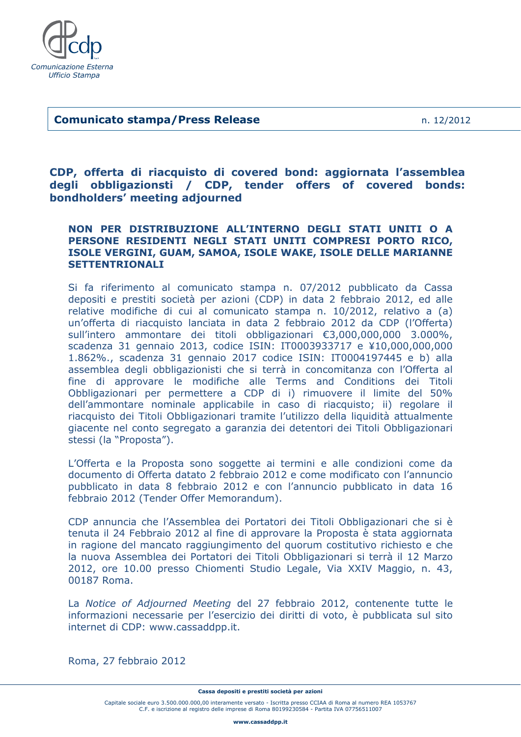

## Ī **Comunicato stampa/Press Release** n. 12/2012

**CDP, offerta di riacquisto di covered bond: aggiornata l'assemblea degli obbligazionsti / CDP, tender offers of covered bonds: bondholders' meeting adjourned** 

# **NON PER DISTRIBUZIONE ALL'INTERNO DEGLI STATI UNITI O A PERSONE RESIDENTI NEGLI STATI UNITI COMPRESI PORTO RICO, ISOLE VERGINI, GUAM, SAMOA, ISOLE WAKE, ISOLE DELLE MARIANNE SETTENTRIONALI**

Si fa riferimento al comunicato stampa n. 07/2012 pubblicato da Cassa depositi e prestiti società per azioni (CDP) in data 2 febbraio 2012, ed alle relative modifiche di cui al comunicato stampa n. 10/2012, relativo a (a) un'offerta di riacquisto lanciata in data 2 febbraio 2012 da CDP (l'Offerta) sull'intero ammontare dei titoli obbligazionari €3,000,000,000 3.000%, scadenza 31 gennaio 2013, codice ISIN: IT0003933717 e ¥10,000,000,000 1.862%., scadenza 31 gennaio 2017 codice ISIN: IT0004197445 e b) alla assemblea degli obbligazionisti che si terrà in concomitanza con l'Offerta al fine di approvare le modifiche alle Terms and Conditions dei Titoli Obbligazionari per permettere a CDP di i) rimuovere il limite del 50% dell'ammontare nominale applicabile in caso di riacquisto; ii) regolare il riacquisto dei Titoli Obbligazionari tramite l'utilizzo della liquidità attualmente giacente nel conto segregato a garanzia dei detentori dei Titoli Obbligazionari stessi (la "Proposta").

L'Offerta e la Proposta sono soggette ai termini e alle condizioni come da documento di Offerta datato 2 febbraio 2012 e come modificato con l'annuncio pubblicato in data 8 febbraio 2012 e con l'annuncio pubblicato in data 16 febbraio 2012 (Tender Offer Memorandum).

CDP annuncia che l'Assemblea dei Portatori dei Titoli Obbligazionari che si è tenuta il 24 Febbraio 2012 al fine di approvare la Proposta è stata aggiornata in ragione del mancato raggiungimento del quorum costitutivo richiesto e che la nuova Assemblea dei Portatori dei Titoli Obbligazionari si terrà il 12 Marzo 2012, ore 10.00 presso Chiomenti Studio Legale, Via XXIV Maggio, n. 43, 00187 Roma.

La *Notice of Adjourned Meeting* del 27 febbraio 2012, contenente tutte le informazioni necessarie per l'esercizio dei diritti di voto, è pubblicata sul sito internet di CDP: www.cassaddpp.it.

Roma, 27 febbraio 2012

Capitale sociale euro 3.500.000.000,00 interamente versato - Iscritta presso CCIAA di Roma al numero REA 1053767 C.F. e iscrizione al registro delle imprese di Roma 80199230584 - Partita IVA 07756511007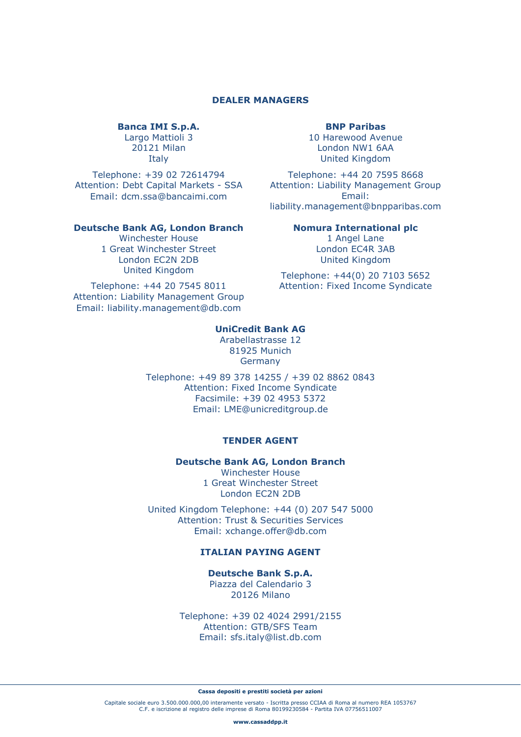## **DEALER MANAGERS**

## **Banca IMI S.p.A.**

Largo Mattioli 3 20121 Milan Italy

Telephone: +39 02 72614794 Attention: Debt Capital Markets - SSA Email: dcm.ssa@bancaimi.com

### **Deutsche Bank AG, London Branch**

Winchester House 1 Great Winchester Street London EC2N 2DB United Kingdom

Telephone: +44 20 7545 8011 Attention: Liability Management Group Email: liability.management@db.com

### **BNP Paribas**

10 Harewood Avenue London NW1 6AA United Kingdom

Telephone: +44 20 7595 8668 Attention: Liability Management Group Email: liability.management@bnpparibas.com

## **Nomura International plc**

1 Angel Lane London EC4R 3AB United Kingdom

Telephone: +44(0) 20 7103 5652 Attention: Fixed Income Syndicate

## **UniCredit Bank AG**

Arabellastrasse 12 81925 Munich Germany

Telephone: +49 89 378 14255 / +39 02 8862 0843 Attention: Fixed Income Syndicate Facsimile: +39 02 4953 5372 Email: LME@unicreditgroup.de

### **TENDER AGENT**

**Deutsche Bank AG, London Branch** 

Winchester House 1 Great Winchester Street London EC2N 2DB

United Kingdom Telephone: +44 (0) 207 547 5000 Attention: Trust & Securities Services Email: xchange.offer@db.com

# **ITALIAN PAYING AGENT**

**Deutsche Bank S.p.A.**  Piazza del Calendario 3 20126 Milano

Telephone: +39 02 4024 2991/2155 Attention: GTB/SFS Team Email: sfs.italy@list.db.com

#### **Cassa depositi e prestiti società per azioni**

Capitale sociale euro 3.500.000.000,00 interamente versato - Iscritta presso CCIAA di Roma al numero REA 1053767 C.F. e iscrizione al registro delle imprese di Roma 80199230584 - Partita IVA 07756511007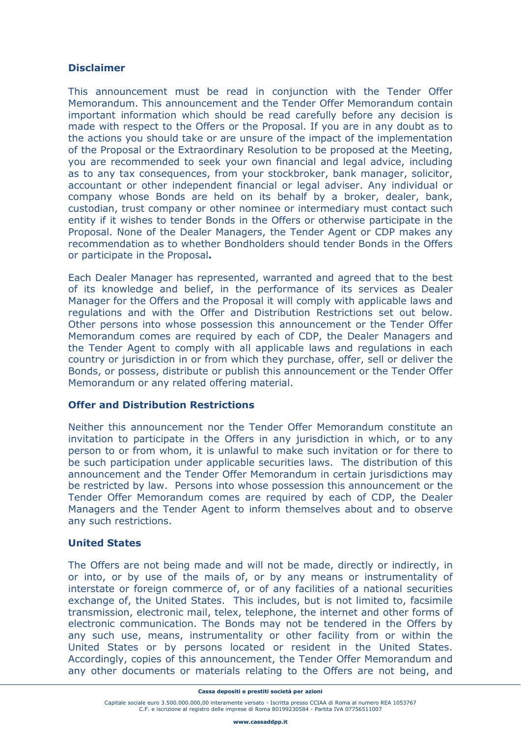# **Disclaimer**

This announcement must be read in conjunction with the Tender Offer Memorandum. This announcement and the Tender Offer Memorandum contain important information which should be read carefully before any decision is made with respect to the Offers or the Proposal. If you are in any doubt as to the actions you should take or are unsure of the impact of the implementation of the Proposal or the Extraordinary Resolution to be proposed at the Meeting, you are recommended to seek your own financial and legal advice, including as to any tax consequences, from your stockbroker, bank manager, solicitor, accountant or other independent financial or legal adviser. Any individual or company whose Bonds are held on its behalf by a broker, dealer, bank, custodian, trust company or other nominee or intermediary must contact such entity if it wishes to tender Bonds in the Offers or otherwise participate in the Proposal. None of the Dealer Managers, the Tender Agent or CDP makes any recommendation as to whether Bondholders should tender Bonds in the Offers or participate in the Proposal**.** 

Each Dealer Manager has represented, warranted and agreed that to the best of its knowledge and belief, in the performance of its services as Dealer Manager for the Offers and the Proposal it will comply with applicable laws and regulations and with the Offer and Distribution Restrictions set out below. Other persons into whose possession this announcement or the Tender Offer Memorandum comes are required by each of CDP, the Dealer Managers and the Tender Agent to comply with all applicable laws and regulations in each country or jurisdiction in or from which they purchase, offer, sell or deliver the Bonds, or possess, distribute or publish this announcement or the Tender Offer Memorandum or any related offering material.

## **Offer and Distribution Restrictions**

Neither this announcement nor the Tender Offer Memorandum constitute an invitation to participate in the Offers in any jurisdiction in which, or to any person to or from whom, it is unlawful to make such invitation or for there to be such participation under applicable securities laws. The distribution of this announcement and the Tender Offer Memorandum in certain jurisdictions may be restricted by law. Persons into whose possession this announcement or the Tender Offer Memorandum comes are required by each of CDP, the Dealer Managers and the Tender Agent to inform themselves about and to observe any such restrictions.

## **United States**

The Offers are not being made and will not be made, directly or indirectly, in or into, or by use of the mails of, or by any means or instrumentality of interstate or foreign commerce of, or of any facilities of a national securities exchange of, the United States. This includes, but is not limited to, facsimile transmission, electronic mail, telex, telephone, the internet and other forms of electronic communication. The Bonds may not be tendered in the Offers by any such use, means, instrumentality or other facility from or within the United States or by persons located or resident in the United States. Accordingly, copies of this announcement, the Tender Offer Memorandum and any other documents or materials relating to the Offers are not being, and

**Cassa depositi e prestiti società per azioni** 

Capitale sociale euro 3.500.000.000,00 interamente versato - Iscritta presso CCIAA di Roma al numero REA 1053767 C.F. e iscrizione al registro delle imprese di Roma 80199230584 - Partita IVA 07756511007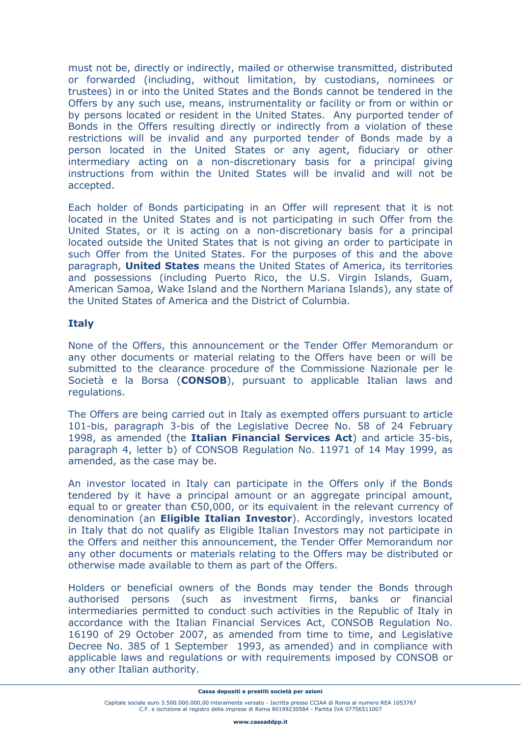must not be, directly or indirectly, mailed or otherwise transmitted, distributed or forwarded (including, without limitation, by custodians, nominees or trustees) in or into the United States and the Bonds cannot be tendered in the Offers by any such use, means, instrumentality or facility or from or within or by persons located or resident in the United States. Any purported tender of Bonds in the Offers resulting directly or indirectly from a violation of these restrictions will be invalid and any purported tender of Bonds made by a person located in the United States or any agent, fiduciary or other intermediary acting on a non-discretionary basis for a principal giving instructions from within the United States will be invalid and will not be accepted.

Each holder of Bonds participating in an Offer will represent that it is not located in the United States and is not participating in such Offer from the United States, or it is acting on a non-discretionary basis for a principal located outside the United States that is not giving an order to participate in such Offer from the United States. For the purposes of this and the above paragraph, **United States** means the United States of America, its territories and possessions (including Puerto Rico, the U.S. Virgin Islands, Guam, American Samoa, Wake Island and the Northern Mariana Islands), any state of the United States of America and the District of Columbia.

# **Italy**

None of the Offers, this announcement or the Tender Offer Memorandum or any other documents or material relating to the Offers have been or will be submitted to the clearance procedure of the Commissione Nazionale per le Società e la Borsa (**CONSOB**), pursuant to applicable Italian laws and regulations.

The Offers are being carried out in Italy as exempted offers pursuant to article 101-bis, paragraph 3-bis of the Legislative Decree No. 58 of 24 February 1998, as amended (the **Italian Financial Services Act**) and article 35-bis, paragraph 4, letter b) of CONSOB Regulation No. 11971 of 14 May 1999, as amended, as the case may be.

An investor located in Italy can participate in the Offers only if the Bonds tendered by it have a principal amount or an aggregate principal amount, equal to or greater than €50,000, or its equivalent in the relevant currency of denomination (an **Eligible Italian Investor**). Accordingly, investors located in Italy that do not qualify as Eligible Italian Investors may not participate in the Offers and neither this announcement, the Tender Offer Memorandum nor any other documents or materials relating to the Offers may be distributed or otherwise made available to them as part of the Offers.

Holders or beneficial owners of the Bonds may tender the Bonds through authorised persons (such as investment firms, banks or financial intermediaries permitted to conduct such activities in the Republic of Italy in accordance with the Italian Financial Services Act, CONSOB Regulation No. 16190 of 29 October 2007, as amended from time to time, and Legislative Decree No. 385 of 1 September 1993, as amended) and in compliance with applicable laws and regulations or with requirements imposed by CONSOB or any other Italian authority.

**Cassa depositi e prestiti società per azioni** 

Capitale sociale euro 3.500.000.000,00 interamente versato - Iscritta presso CCIAA di Roma al numero REA 1053767 C.F. e iscrizione al registro delle imprese di Roma 80199230584 - Partita IVA 07756511007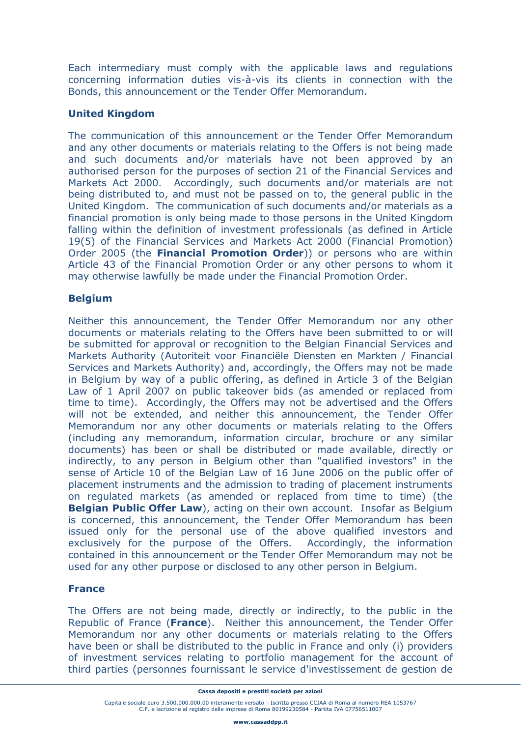Each intermediary must comply with the applicable laws and regulations concerning information duties vis-à-vis its clients in connection with the Bonds, this announcement or the Tender Offer Memorandum.

# **United Kingdom**

The communication of this announcement or the Tender Offer Memorandum and any other documents or materials relating to the Offers is not being made and such documents and/or materials have not been approved by an authorised person for the purposes of section 21 of the Financial Services and Markets Act 2000. Accordingly, such documents and/or materials are not being distributed to, and must not be passed on to, the general public in the United Kingdom. The communication of such documents and/or materials as a financial promotion is only being made to those persons in the United Kingdom falling within the definition of investment professionals (as defined in Article 19(5) of the Financial Services and Markets Act 2000 (Financial Promotion) Order 2005 (the **Financial Promotion Order**)) or persons who are within Article 43 of the Financial Promotion Order or any other persons to whom it may otherwise lawfully be made under the Financial Promotion Order.

# **Belgium**

Neither this announcement, the Tender Offer Memorandum nor any other documents or materials relating to the Offers have been submitted to or will be submitted for approval or recognition to the Belgian Financial Services and Markets Authority (Autoriteit voor Financiële Diensten en Markten / Financial Services and Markets Authority) and, accordingly, the Offers may not be made in Belgium by way of a public offering, as defined in Article 3 of the Belgian Law of 1 April 2007 on public takeover bids (as amended or replaced from time to time). Accordingly, the Offers may not be advertised and the Offers will not be extended, and neither this announcement, the Tender Offer Memorandum nor any other documents or materials relating to the Offers (including any memorandum, information circular, brochure or any similar documents) has been or shall be distributed or made available, directly or indirectly, to any person in Belgium other than "qualified investors" in the sense of Article 10 of the Belgian Law of 16 June 2006 on the public offer of placement instruments and the admission to trading of placement instruments on regulated markets (as amended or replaced from time to time) (the **Belgian Public Offer Law**), acting on their own account. Insofar as Belgium is concerned, this announcement, the Tender Offer Memorandum has been issued only for the personal use of the above qualified investors and exclusively for the purpose of the Offers. Accordingly, the information contained in this announcement or the Tender Offer Memorandum may not be used for any other purpose or disclosed to any other person in Belgium.

## **France**

The Offers are not being made, directly or indirectly, to the public in the Republic of France (**France**). Neither this announcement, the Tender Offer Memorandum nor any other documents or materials relating to the Offers have been or shall be distributed to the public in France and only (i) providers of investment services relating to portfolio management for the account of third parties (personnes fournissant le service d'investissement de gestion de

**Cassa depositi e prestiti società per azioni** 

Capitale sociale euro 3.500.000.000,00 interamente versato - Iscritta presso CCIAA di Roma al numero REA 1053767 C.F. e iscrizione al registro delle imprese di Roma 80199230584 - Partita IVA 07756511007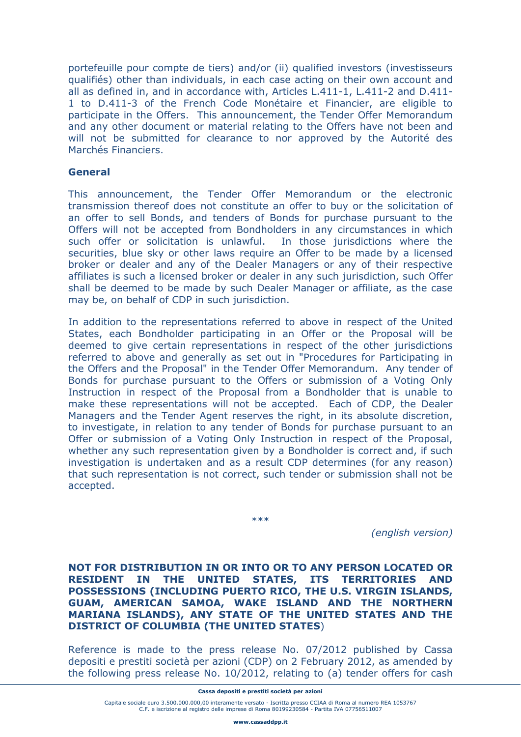portefeuille pour compte de tiers) and/or (ii) qualified investors (investisseurs qualifiés) other than individuals, in each case acting on their own account and all as defined in, and in accordance with, Articles L.411-1, L.411-2 and D.411- 1 to D.411-3 of the French Code Monétaire et Financier, are eligible to participate in the Offers. This announcement, the Tender Offer Memorandum and any other document or material relating to the Offers have not been and will not be submitted for clearance to nor approved by the Autorité des Marchés Financiers.

## **General**

This announcement, the Tender Offer Memorandum or the electronic transmission thereof does not constitute an offer to buy or the solicitation of an offer to sell Bonds, and tenders of Bonds for purchase pursuant to the Offers will not be accepted from Bondholders in any circumstances in which such offer or solicitation is unlawful. In those jurisdictions where the securities, blue sky or other laws require an Offer to be made by a licensed broker or dealer and any of the Dealer Managers or any of their respective affiliates is such a licensed broker or dealer in any such jurisdiction, such Offer shall be deemed to be made by such Dealer Manager or affiliate, as the case may be, on behalf of CDP in such jurisdiction.

In addition to the representations referred to above in respect of the United States, each Bondholder participating in an Offer or the Proposal will be deemed to give certain representations in respect of the other jurisdictions referred to above and generally as set out in "Procedures for Participating in the Offers and the Proposal" in the Tender Offer Memorandum. Any tender of Bonds for purchase pursuant to the Offers or submission of a Voting Only Instruction in respect of the Proposal from a Bondholder that is unable to make these representations will not be accepted. Each of CDP, the Dealer Managers and the Tender Agent reserves the right, in its absolute discretion, to investigate, in relation to any tender of Bonds for purchase pursuant to an Offer or submission of a Voting Only Instruction in respect of the Proposal, whether any such representation given by a Bondholder is correct and, if such investigation is undertaken and as a result CDP determines (for any reason) that such representation is not correct, such tender or submission shall not be accepted.

\*\*\*

*(english version)* 

**NOT FOR DISTRIBUTION IN OR INTO OR TO ANY PERSON LOCATED OR RESIDENT IN THE UNITED STATES, ITS TERRITORIES AND POSSESSIONS (INCLUDING PUERTO RICO, THE U.S. VIRGIN ISLANDS, GUAM, AMERICAN SAMOA, WAKE ISLAND AND THE NORTHERN MARIANA ISLANDS), ANY STATE OF THE UNITED STATES AND THE DISTRICT OF COLUMBIA (THE UNITED STATES**)

Reference is made to the press release No. 07/2012 published by Cassa depositi e prestiti società per azioni (CDP) on 2 February 2012, as amended by the following press release No. 10/2012, relating to (a) tender offers for cash

Capitale sociale euro 3.500.000.000,00 interamente versato - Iscritta presso CCIAA di Roma al numero REA 1053767 C.F. e iscrizione al registro delle imprese di Roma 80199230584 - Partita IVA 07756511007